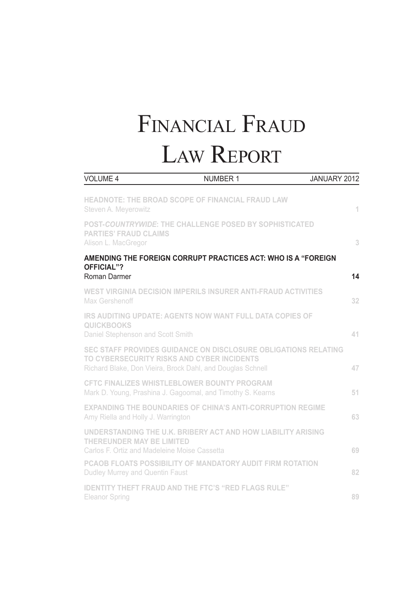# Financial Fraud Law Report

| <b>VOLUME 4</b>                                                                                                                                                            | <b>NUMBER 1</b> | JANUARY 2012 |
|----------------------------------------------------------------------------------------------------------------------------------------------------------------------------|-----------------|--------------|
| <b>HEADNOTE: THE BROAD SCOPE OF FINANCIAL FRAUD LAW</b><br>Steven A. Meyerowitz                                                                                            |                 | 1            |
| POST-COUNTRYWIDE: THE CHALLENGE POSED BY SOPHISTICATED<br><b>PARTIES' FRAUD CLAIMS</b><br>Alison L. MacGregor                                                              |                 | 3            |
| AMENDING THE FOREIGN CORRUPT PRACTICES ACT: WHO IS A "FOREIGN<br>OFFICIAL"?<br>Roman Darmer                                                                                |                 | 14           |
| WEST VIRGINIA DECISION IMPERILS INSURER ANTI-FRAUD ACTIVITIES<br>Max Gershenoff                                                                                            |                 | 32           |
| <b>IRS AUDITING UPDATE: AGENTS NOW WANT FULL DATA COPIES OF</b><br><b>QUICKBOOKS</b><br>Daniel Stephenson and Scott Smith                                                  |                 | 41           |
| SEC STAFF PROVIDES GUIDANCE ON DISCLOSURE OBLIGATIONS RELATING<br>TO CYBERSECURITY RISKS AND CYBER INCIDENTS<br>Richard Blake, Don Vieira, Brock Dahl, and Douglas Schnell |                 | 47           |
| <b>CFTC FINALIZES WHISTLEBLOWER BOUNTY PROGRAM</b><br>Mark D. Young, Prashina J. Gagoomal, and Timothy S. Kearns                                                           |                 | 51           |
| <b>EXPANDING THE BOUNDARIES OF CHINA'S ANTI-CORRUPTION REGIME</b><br>Amy Riella and Holly J. Warrington                                                                    |                 | 63           |
| UNDERSTANDING THE U.K. BRIBERY ACT AND HOW LIABILITY ARISING<br>THEREUNDER MAY BE LIMITED<br>Carlos F. Ortiz and Madeleine Moise Cassetta                                  |                 | 69           |
| PCAOB FLOATS POSSIBILITY OF MANDATORY AUDIT FIRM ROTATION<br>Dudley Murrey and Quentin Faust                                                                               |                 | 82           |
| <b>IDENTITY THEFT FRAUD AND THE FTC'S "RED FLAGS RULE"</b><br>Eleanor Spring                                                                                               |                 | 89           |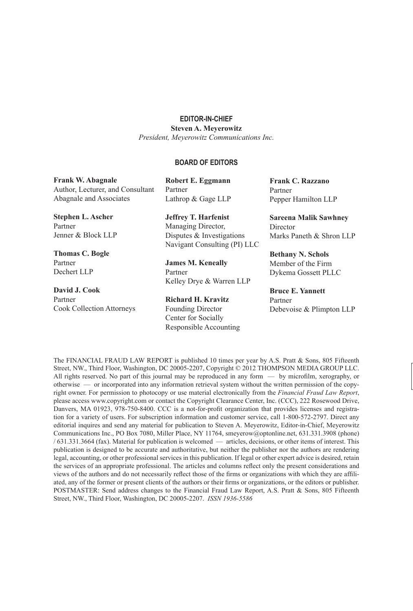#### **EDITOR-IN-CHIEF**

**Steven A. Meyerowitz**

*President, Meyerowitz Communications Inc.*

#### **BOARD OF EDITORS**

**Frank W. Abagnale** Author, Lecturer, and Consultant Abagnale and Associates **Stephen L. Ascher**  Partner Jenner & Block LLP **Robert E. Eggmann** Partner Lathrop & Gage LLP **Jeffrey T. Harfenist** Managing Director, Disputes & Investigations Navigant Consulting (PI) LLC **Frank C. Razzano** Partner Pepper Hamilton LLP **Sareena Malik Sawhney Director** 

**Thomas C. Bogle** Partner Dechert LLP

**David J. Cook** Partner Cook Collection Attorneys **James M. Keneally**

Partner Kelley Drye & Warren LLP

**Richard H. Kravitz** Founding Director Center for Socially Responsible Accounting Marks Paneth & Shron LLP

**Bethany N. Schols** Member of the Firm Dykema Gossett PLLC

**Bruce E. Yannett** Partner Debevoise & Plimpton LLP

The FINANCIAL FRAUD LAW REPORT is published 10 times per year by A.S. Pratt & Sons, 805 Fifteenth Street, NW., Third Floor, Washington, DC 20005-2207, Copyright © 2012 THOMPSON MEDIA GROUP LLC. All rights reserved. No part of this journal may be reproduced in any form — by microfilm, xerography, or otherwise — or incorporated into any information retrieval system without the written permission of the copyright owner. For permission to photocopy or use material electronically from the *Financial Fraud Law Report*, please access www.copyright.com or contact the Copyright Clearance Center, Inc. (CCC), 222 Rosewood Drive, Danvers, MA 01923, 978-750-8400. CCC is a not-for-profit organization that provides licenses and registration for a variety of users. For subscription information and customer service, call 1-800-572-2797. Direct any editorial inquires and send any material for publication to Steven A. Meyerowitz, Editor-in-Chief, Meyerowitz Communications Inc., PO Box 7080, Miller Place, NY 11764, smeyerow@optonline.net, 631.331.3908 (phone) / 631.331.3664 (fax). Material for publication is welcomed — articles, decisions, or other items of interest. This publication is designed to be accurate and authoritative, but neither the publisher nor the authors are rendering legal, accounting, or other professional services in this publication. If legal or other expert advice is desired, retain the services of an appropriate professional. The articles and columns reflect only the present considerations and views of the authors and do not necessarily reflect those of the firms or organizations with which they are affiliated, any of the former or present clients of the authors or their firms or organizations, or the editors or publisher. POSTMASTER: Send address changes to the Financial Fraud Law Report, A.S. Pratt & Sons, 805 Fifteenth Street, NW., Third Floor, Washington, DC 20005-2207. *ISSN 1936-5586*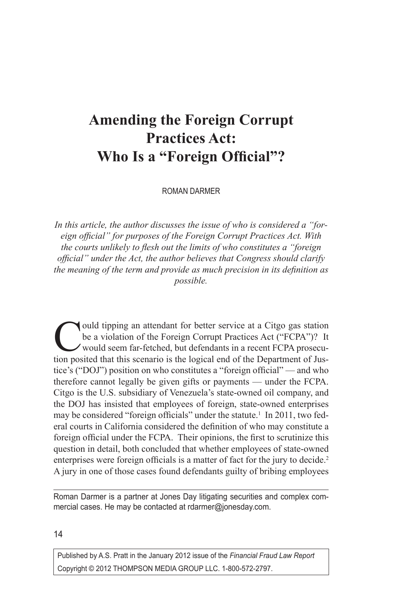# **Amending the Foreign Corrupt Practices Act: Who Is a "Foreign Official"?**

ROMAN DARMER

*In this article, the author discusses the issue of who is considered a "foreign official" for purposes of the Foreign Corrupt Practices Act. With the courts unlikely to flesh out the limits of who constitutes a "foreign official" under the Act, the author believes that Congress should clarify the meaning of the term and provide as much precision in its definition as possible.*

ould tipping an attendant for better service at a Citgo gas station be a violation of the Foreign Corrupt Practices Act ("FCPA")? It would seem far-fetched, but defendants in a recent FCPA prosecution posited that this scenario is the logical end of the Department of Justice's ("DOJ") position on who constitutes a "foreign official" — and who therefore cannot legally be given gifts or payments — under the FCPA. Citgo is the U.S. subsidiary of Venezuela's state-owned oil company, and the DOJ has insisted that employees of foreign, state-owned enterprises may be considered "foreign officials" under the statute.<sup>1</sup> In 2011, two federal courts in California considered the definition of who may constitute a foreign official under the FCPA. Their opinions, the first to scrutinize this question in detail, both concluded that whether employees of state-owned enterprises were foreign officials is a matter of fact for the jury to decide.<sup>2</sup> A jury in one of those cases found defendants guilty of bribing employees

Roman Darmer is a partner at Jones Day litigating securities and complex commercial cases. He may be contacted at rdarmer@jonesday.com.

14

Published by A.S. Pratt in the January 2012 issue of the *Financial Fraud Law Report* Copyright © 2012 THOMPSON MEDIA GROUP LLC. 1-800-572-2797.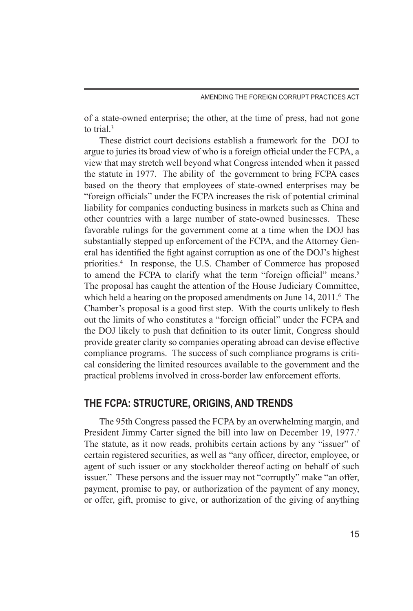of a state-owned enterprise; the other, at the time of press, had not gone to trial<sup>3</sup>

These district court decisions establish a framework for the DOJ to argue to juries its broad view of who is a foreign official under the FCPA, a view that may stretch well beyond what Congress intended when it passed the statute in 1977. The ability of the government to bring FCPA cases based on the theory that employees of state-owned enterprises may be "foreign officials" under the FCPA increases the risk of potential criminal liability for companies conducting business in markets such as China and other countries with a large number of state-owned businesses. These favorable rulings for the government come at a time when the DOJ has substantially stepped up enforcement of the FCPA, and the Attorney General has identified the fight against corruption as one of the DOJ's highest priorities.4 In response, the U.S. Chamber of Commerce has proposed to amend the FCPA to clarify what the term "foreign official" means.<sup>5</sup> The proposal has caught the attention of the House Judiciary Committee, which held a hearing on the proposed amendments on June 14, 2011.<sup>6</sup> The Chamber's proposal is a good first step. With the courts unlikely to flesh out the limits of who constitutes a "foreign official" under the FCPA and the DOJ likely to push that definition to its outer limit, Congress should provide greater clarity so companies operating abroad can devise effective compliance programs. The success of such compliance programs is critical considering the limited resources available to the government and the practical problems involved in cross-border law enforcement efforts.

# **THE FCPA: STRUCTURE, ORIGINS, AND TRENDS**

The 95th Congress passed the FCPA by an overwhelming margin, and President Jimmy Carter signed the bill into law on December 19, 1977.<sup>7</sup> The statute, as it now reads, prohibits certain actions by any "issuer" of certain registered securities, as well as "any officer, director, employee, or agent of such issuer or any stockholder thereof acting on behalf of such issuer." These persons and the issuer may not "corruptly" make "an offer, payment, promise to pay, or authorization of the payment of any money, or offer, gift, promise to give, or authorization of the giving of anything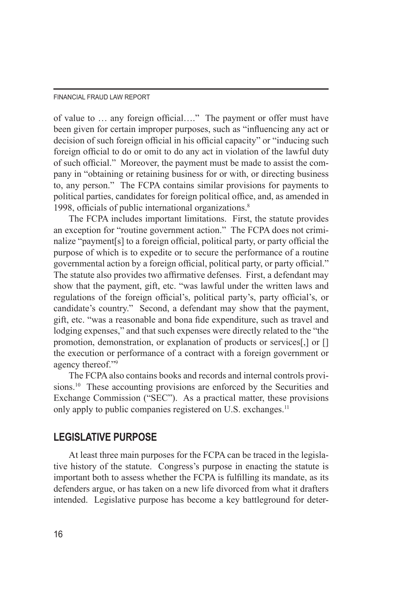of value to … any foreign official…." The payment or offer must have been given for certain improper purposes, such as "influencing any act or decision of such foreign official in his official capacity" or "inducing such foreign official to do or omit to do any act in violation of the lawful duty of such official." Moreover, the payment must be made to assist the company in "obtaining or retaining business for or with, or directing business to, any person." The FCPA contains similar provisions for payments to political parties, candidates for foreign political office, and, as amended in 1998, officials of public international organizations.<sup>8</sup>

The FCPA includes important limitations. First, the statute provides an exception for "routine government action." The FCPA does not criminalize "payment[s] to a foreign official, political party, or party official the purpose of which is to expedite or to secure the performance of a routine governmental action by a foreign official, political party, or party official." The statute also provides two affirmative defenses. First, a defendant may show that the payment, gift, etc. "was lawful under the written laws and regulations of the foreign official's, political party's, party official's, or candidate's country." Second, a defendant may show that the payment, gift, etc. "was a reasonable and bona fide expenditure, such as travel and lodging expenses," and that such expenses were directly related to the "the promotion, demonstration, or explanation of products or services[,] or [] the execution or performance of a contract with a foreign government or agency thereof."9

The FCPA also contains books and records and internal controls provisions.<sup>10</sup> These accounting provisions are enforced by the Securities and Exchange Commission ("SEC"). As a practical matter, these provisions only apply to public companies registered on U.S. exchanges.<sup>11</sup>

# **LEGISLATIVE PURPOSE**

At least three main purposes for the FCPA can be traced in the legislative history of the statute. Congress's purpose in enacting the statute is important both to assess whether the FCPA is fulfilling its mandate, as its defenders argue, or has taken on a new life divorced from what it drafters intended. Legislative purpose has become a key battleground for deter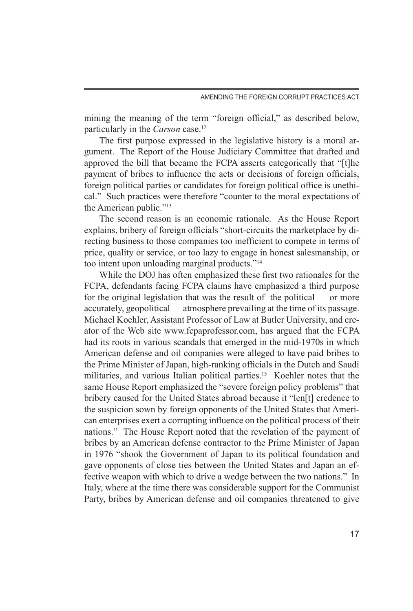mining the meaning of the term "foreign official," as described below, particularly in the *Carson* case.<sup>12</sup>

The first purpose expressed in the legislative history is a moral argument. The Report of the House Judiciary Committee that drafted and approved the bill that became the FCPA asserts categorically that "[t]he payment of bribes to influence the acts or decisions of foreign officials, foreign political parties or candidates for foreign political office is unethical." Such practices were therefore "counter to the moral expectations of the American public."13

The second reason is an economic rationale. As the House Report explains, bribery of foreign officials "short-circuits the marketplace by directing business to those companies too inefficient to compete in terms of price, quality or service, or too lazy to engage in honest salesmanship, or too intent upon unloading marginal products."14

While the DOJ has often emphasized these first two rationales for the FCPA, defendants facing FCPA claims have emphasized a third purpose for the original legislation that was the result of the political — or more accurately, geopolitical — atmosphere prevailing at the time of its passage. Michael Koehler, Assistant Professor of Law at Butler University, and creator of the Web site www.fcpaprofessor.com, has argued that the FCPA had its roots in various scandals that emerged in the mid-1970s in which American defense and oil companies were alleged to have paid bribes to the Prime Minister of Japan, high-ranking officials in the Dutch and Saudi militaries, and various Italian political parties.<sup>15</sup> Koehler notes that the same House Report emphasized the "severe foreign policy problems" that bribery caused for the United States abroad because it "len[t] credence to the suspicion sown by foreign opponents of the United States that American enterprises exert a corrupting influence on the political process of their nations." The House Report noted that the revelation of the payment of bribes by an American defense contractor to the Prime Minister of Japan in 1976 "shook the Government of Japan to its political foundation and gave opponents of close ties between the United States and Japan an effective weapon with which to drive a wedge between the two nations." In Italy, where at the time there was considerable support for the Communist Party, bribes by American defense and oil companies threatened to give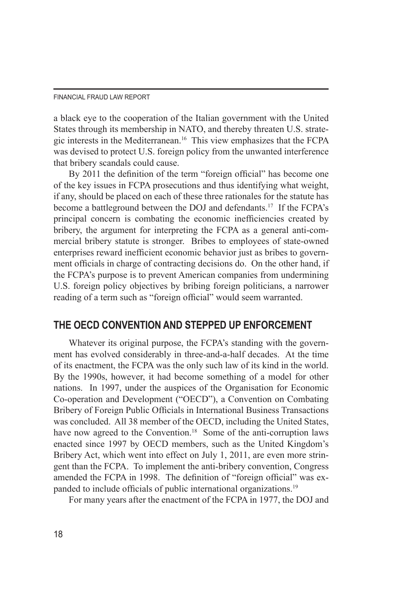a black eye to the cooperation of the Italian government with the United States through its membership in NATO, and thereby threaten U.S. strategic interests in the Mediterranean.16 This view emphasizes that the FCPA was devised to protect U.S. foreign policy from the unwanted interference that bribery scandals could cause.

By 2011 the definition of the term "foreign official" has become one of the key issues in FCPA prosecutions and thus identifying what weight, if any, should be placed on each of these three rationales for the statute has become a battleground between the DOJ and defendants.<sup>17</sup> If the FCPA's principal concern is combating the economic inefficiencies created by bribery, the argument for interpreting the FCPA as a general anti-commercial bribery statute is stronger. Bribes to employees of state-owned enterprises reward inefficient economic behavior just as bribes to government officials in charge of contracting decisions do. On the other hand, if the FCPA's purpose is to prevent American companies from undermining U.S. foreign policy objectives by bribing foreign politicians, a narrower reading of a term such as "foreign official" would seem warranted.

# **THE OECD CONVENTION AND STEPPED UP ENFORCEMENT**

Whatever its original purpose, the FCPA's standing with the government has evolved considerably in three-and-a-half decades. At the time of its enactment, the FCPA was the only such law of its kind in the world. By the 1990s, however, it had become something of a model for other nations. In 1997, under the auspices of the Organisation for Economic Co-operation and Development ("OECD"), a Convention on Combating Bribery of Foreign Public Officials in International Business Transactions was concluded. All 38 member of the OECD, including the United States, have now agreed to the Convention.<sup>18</sup> Some of the anti-corruption laws enacted since 1997 by OECD members, such as the United Kingdom's Bribery Act, which went into effect on July 1, 2011, are even more stringent than the FCPA. To implement the anti-bribery convention, Congress amended the FCPA in 1998. The definition of "foreign official" was expanded to include officials of public international organizations.19

For many years after the enactment of the FCPA in 1977, the DOJ and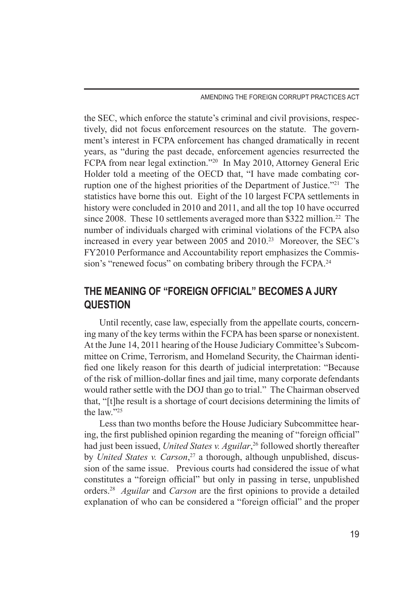AMENDING THE FOREIGN CORRUPT PRACTICES ACT

the SEC, which enforce the statute's criminal and civil provisions, respectively, did not focus enforcement resources on the statute. The government's interest in FCPA enforcement has changed dramatically in recent years, as "during the past decade, enforcement agencies resurrected the FCPA from near legal extinction."20 In May 2010, Attorney General Eric Holder told a meeting of the OECD that, "I have made combating corruption one of the highest priorities of the Department of Justice."21 The statistics have borne this out. Eight of the 10 largest FCPA settlements in history were concluded in 2010 and 2011, and all the top 10 have occurred since 2008. These 10 settlements averaged more than \$322 million.<sup>22</sup> The number of individuals charged with criminal violations of the FCPA also increased in every year between 2005 and 2010.<sup>23</sup> Moreover, the SEC's FY2010 Performance and Accountability report emphasizes the Commission's "renewed focus" on combating bribery through the FCPA.<sup>24</sup>

# **THE MEANING OF "FOREIGN OFFICIAL" BECOMES A JURY QUESTION**

Until recently, case law, especially from the appellate courts, concerning many of the key terms within the FCPA has been sparse or nonexistent. At the June 14, 2011 hearing of the House Judiciary Committee's Subcommittee on Crime, Terrorism, and Homeland Security, the Chairman identified one likely reason for this dearth of judicial interpretation: "Because of the risk of million-dollar fines and jail time, many corporate defendants would rather settle with the DOJ than go to trial." The Chairman observed that, "[t]he result is a shortage of court decisions determining the limits of the law."25

Less than two months before the House Judiciary Subcommittee hearing, the first published opinion regarding the meaning of "foreign official" had just been issued, *United States v. Aguilar*, 26 followed shortly thereafter by *United States v. Carson*, 27 a thorough, although unpublished, discussion of the same issue. Previous courts had considered the issue of what constitutes a "foreign official" but only in passing in terse, unpublished orders.28 *Aguilar* and *Carson* are the first opinions to provide a detailed explanation of who can be considered a "foreign official" and the proper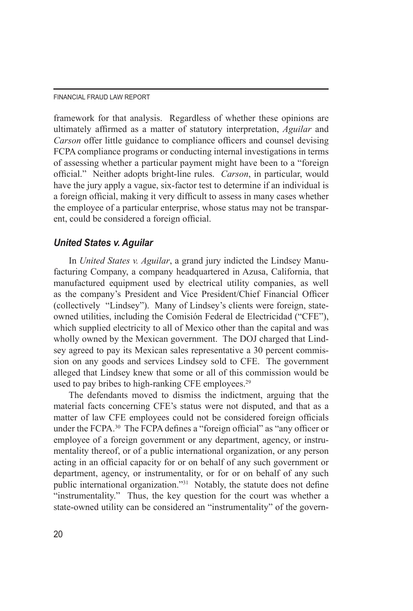framework for that analysis. Regardless of whether these opinions are ultimately affirmed as a matter of statutory interpretation, *Aguilar* and *Carson* offer little guidance to compliance officers and counsel devising FCPA compliance programs or conducting internal investigations in terms of assessing whether a particular payment might have been to a "foreign official." Neither adopts bright-line rules. *Carson*, in particular, would have the jury apply a vague, six-factor test to determine if an individual is a foreign official, making it very difficult to assess in many cases whether the employee of a particular enterprise, whose status may not be transparent, could be considered a foreign official.

# *United States v. Aguilar*

In *United States v. Aguilar*, a grand jury indicted the Lindsey Manufacturing Company, a company headquartered in Azusa, California, that manufactured equipment used by electrical utility companies, as well as the company's President and Vice President/Chief Financial Officer (collectively "Lindsey"). Many of Lindsey's clients were foreign, stateowned utilities, including the Comisión Federal de Electricidad ("CFE"), which supplied electricity to all of Mexico other than the capital and was wholly owned by the Mexican government. The DOJ charged that Lindsey agreed to pay its Mexican sales representative a 30 percent commission on any goods and services Lindsey sold to CFE. The government alleged that Lindsey knew that some or all of this commission would be used to pay bribes to high-ranking CFE employees.<sup>29</sup>

The defendants moved to dismiss the indictment, arguing that the material facts concerning CFE's status were not disputed, and that as a matter of law CFE employees could not be considered foreign officials under the FCPA.30 The FCPA defines a "foreign official" as "any officer or employee of a foreign government or any department, agency, or instrumentality thereof, or of a public international organization, or any person acting in an official capacity for or on behalf of any such government or department, agency, or instrumentality, or for or on behalf of any such public international organization."<sup>31</sup> Notably, the statute does not define "instrumentality." Thus, the key question for the court was whether a state-owned utility can be considered an "instrumentality" of the govern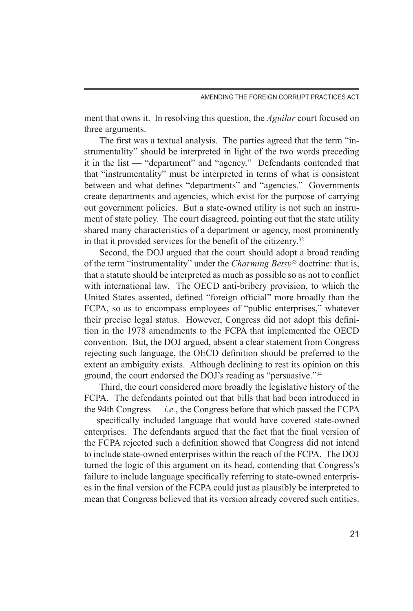ment that owns it. In resolving this question, the *Aguilar* court focused on three arguments.

The first was a textual analysis. The parties agreed that the term "instrumentality" should be interpreted in light of the two words preceding it in the list — "department" and "agency." Defendants contended that that "instrumentality" must be interpreted in terms of what is consistent between and what defines "departments" and "agencies." Governments create departments and agencies, which exist for the purpose of carrying out government policies. But a state-owned utility is not such an instrument of state policy. The court disagreed, pointing out that the state utility shared many characteristics of a department or agency, most prominently in that it provided services for the benefit of the citizenry.32

Second, the DOJ argued that the court should adopt a broad reading of the term "instrumentality" under the *Charming Betsy*33 doctrine: that is, that a statute should be interpreted as much as possible so as not to conflict with international law. The OECD anti-bribery provision, to which the United States assented, defined "foreign official" more broadly than the FCPA, so as to encompass employees of "public enterprises," whatever their precise legal status. However, Congress did not adopt this definition in the 1978 amendments to the FCPA that implemented the OECD convention. But, the DOJ argued, absent a clear statement from Congress rejecting such language, the OECD definition should be preferred to the extent an ambiguity exists. Although declining to rest its opinion on this ground, the court endorsed the DOJ's reading as "persuasive."34

Third, the court considered more broadly the legislative history of the FCPA. The defendants pointed out that bills that had been introduced in the 94th Congress — *i.e.*, the Congress before that which passed the FCPA — specifically included language that would have covered state-owned enterprises. The defendants argued that the fact that the final version of the FCPA rejected such a definition showed that Congress did not intend to include state-owned enterprises within the reach of the FCPA. The DOJ turned the logic of this argument on its head, contending that Congress's failure to include language specifically referring to state-owned enterprises in the final version of the FCPA could just as plausibly be interpreted to mean that Congress believed that its version already covered such entities.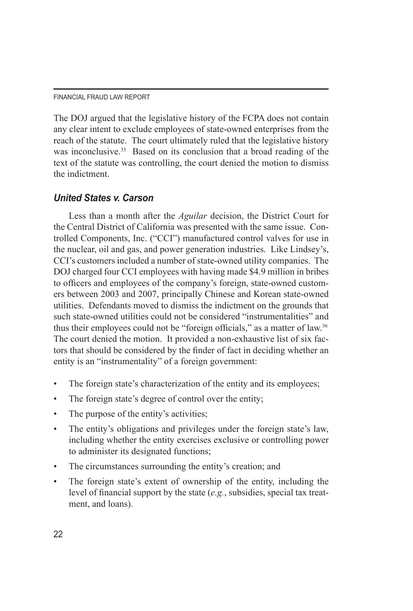The DOJ argued that the legislative history of the FCPA does not contain any clear intent to exclude employees of state-owned enterprises from the reach of the statute. The court ultimately ruled that the legislative history was inconclusive.<sup>35</sup> Based on its conclusion that a broad reading of the text of the statute was controlling, the court denied the motion to dismiss the indictment.

# *United States v. Carson*

Less than a month after the *Aguilar* decision, the District Court for the Central District of California was presented with the same issue. Controlled Components, Inc. ("CCI") manufactured control valves for use in the nuclear, oil and gas, and power generation industries. Like Lindsey's, CCI's customers included a number of state-owned utility companies. The DOJ charged four CCI employees with having made \$4.9 million in bribes to officers and employees of the company's foreign, state-owned customers between 2003 and 2007, principally Chinese and Korean state-owned utilities. Defendants moved to dismiss the indictment on the grounds that such state-owned utilities could not be considered "instrumentalities" and thus their employees could not be "foreign officials," as a matter of law.<sup>36</sup> The court denied the motion. It provided a non-exhaustive list of six factors that should be considered by the finder of fact in deciding whether an entity is an "instrumentality" of a foreign government:

- The foreign state's characterization of the entity and its employees;
- The foreign state's degree of control over the entity;
- The purpose of the entity's activities;
- The entity's obligations and privileges under the foreign state's law, including whether the entity exercises exclusive or controlling power to administer its designated functions;
- The circumstances surrounding the entity's creation; and
- The foreign state's extent of ownership of the entity, including the level of financial support by the state (*e.g.*, subsidies, special tax treatment, and loans).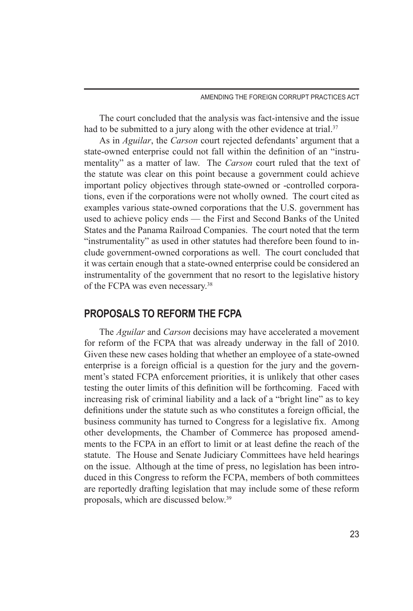The court concluded that the analysis was fact-intensive and the issue had to be submitted to a jury along with the other evidence at trial.<sup>37</sup>

As in *Aguilar*, the *Carson* court rejected defendants' argument that a state-owned enterprise could not fall within the definition of an "instrumentality" as a matter of law. The *Carson* court ruled that the text of the statute was clear on this point because a government could achieve important policy objectives through state-owned or -controlled corporations, even if the corporations were not wholly owned. The court cited as examples various state-owned corporations that the U.S. government has used to achieve policy ends — the First and Second Banks of the United States and the Panama Railroad Companies. The court noted that the term "instrumentality" as used in other statutes had therefore been found to include government-owned corporations as well. The court concluded that it was certain enough that a state-owned enterprise could be considered an instrumentality of the government that no resort to the legislative history of the FCPA was even necessary.38

# **PROPOSALS TO REFORM THE FCPA**

The *Aguilar* and *Carson* decisions may have accelerated a movement for reform of the FCPA that was already underway in the fall of 2010. Given these new cases holding that whether an employee of a state-owned enterprise is a foreign official is a question for the jury and the government's stated FCPA enforcement priorities, it is unlikely that other cases testing the outer limits of this definition will be forthcoming. Faced with increasing risk of criminal liability and a lack of a "bright line" as to key definitions under the statute such as who constitutes a foreign official, the business community has turned to Congress for a legislative fix. Among other developments, the Chamber of Commerce has proposed amendments to the FCPA in an effort to limit or at least define the reach of the statute. The House and Senate Judiciary Committees have held hearings on the issue. Although at the time of press, no legislation has been introduced in this Congress to reform the FCPA, members of both committees are reportedly drafting legislation that may include some of these reform proposals, which are discussed below.39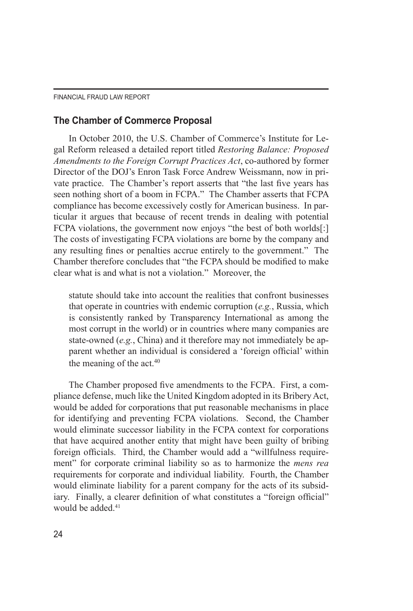### **The Chamber of Commerce Proposal**

In October 2010, the U.S. Chamber of Commerce's Institute for Legal Reform released a detailed report titled *Restoring Balance: Proposed Amendments to the Foreign Corrupt Practices Act*, co-authored by former Director of the DOJ's Enron Task Force Andrew Weissmann, now in private practice. The Chamber's report asserts that "the last five years has seen nothing short of a boom in FCPA." The Chamber asserts that FCPA compliance has become excessively costly for American business. In particular it argues that because of recent trends in dealing with potential FCPA violations, the government now enjoys "the best of both worlds[:] The costs of investigating FCPA violations are borne by the company and any resulting fines or penalties accrue entirely to the government." The Chamber therefore concludes that "the FCPA should be modified to make clear what is and what is not a violation." Moreover, the

statute should take into account the realities that confront businesses that operate in countries with endemic corruption (*e.g.*, Russia, which is consistently ranked by Transparency International as among the most corrupt in the world) or in countries where many companies are state-owned (*e.g.*, China) and it therefore may not immediately be apparent whether an individual is considered a 'foreign official' within the meaning of the act.<sup>40</sup>

The Chamber proposed five amendments to the FCPA. First, a compliance defense, much like the United Kingdom adopted in its Bribery Act, would be added for corporations that put reasonable mechanisms in place for identifying and preventing FCPA violations. Second, the Chamber would eliminate successor liability in the FCPA context for corporations that have acquired another entity that might have been guilty of bribing foreign officials. Third, the Chamber would add a "willfulness requirement" for corporate criminal liability so as to harmonize the *mens rea* requirements for corporate and individual liability. Fourth, the Chamber would eliminate liability for a parent company for the acts of its subsidiary. Finally, a clearer definition of what constitutes a "foreign official" would be added<sup>41</sup>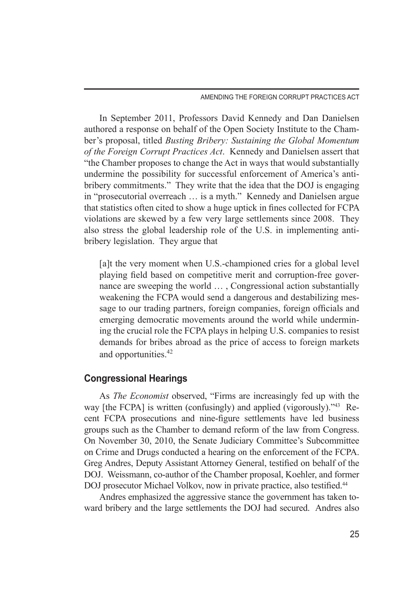In September 2011, Professors David Kennedy and Dan Danielsen authored a response on behalf of the Open Society Institute to the Chamber's proposal, titled *Busting Bribery: Sustaining the Global Momentum of the Foreign Corrupt Practices Act*. Kennedy and Danielsen assert that "the Chamber proposes to change the Act in ways that would substantially undermine the possibility for successful enforcement of America's antibribery commitments." They write that the idea that the DOJ is engaging in "prosecutorial overreach … is a myth." Kennedy and Danielsen argue that statistics often cited to show a huge uptick in fines collected for FCPA violations are skewed by a few very large settlements since 2008. They also stress the global leadership role of the U.S. in implementing antibribery legislation. They argue that

[a]t the very moment when U.S.-championed cries for a global level playing field based on competitive merit and corruption-free governance are sweeping the world … , Congressional action substantially weakening the FCPA would send a dangerous and destabilizing message to our trading partners, foreign companies, foreign officials and emerging democratic movements around the world while undermining the crucial role the FCPA plays in helping U.S. companies to resist demands for bribes abroad as the price of access to foreign markets and opportunities.42

## **Congressional Hearings**

As *The Economist* observed, "Firms are increasingly fed up with the way [the FCPA] is written (confusingly) and applied (vigorously).<sup>743</sup> Recent FCPA prosecutions and nine-figure settlements have led business groups such as the Chamber to demand reform of the law from Congress. On November 30, 2010, the Senate Judiciary Committee's Subcommittee on Crime and Drugs conducted a hearing on the enforcement of the FCPA. Greg Andres, Deputy Assistant Attorney General, testified on behalf of the DOJ. Weissmann, co-author of the Chamber proposal, Koehler, and former DOJ prosecutor Michael Volkov, now in private practice, also testified.<sup>44</sup>

Andres emphasized the aggressive stance the government has taken toward bribery and the large settlements the DOJ had secured. Andres also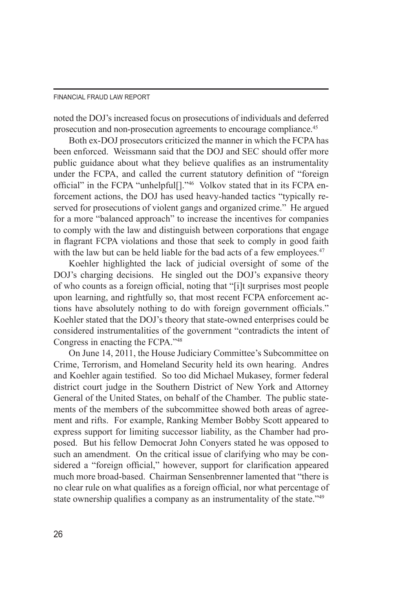noted the DOJ's increased focus on prosecutions of individuals and deferred prosecution and non-prosecution agreements to encourage compliance.45

Both ex-DOJ prosecutors criticized the manner in which the FCPA has been enforced. Weissmann said that the DOJ and SEC should offer more public guidance about what they believe qualifies as an instrumentality under the FCPA, and called the current statutory definition of "foreign official" in the FCPA "unhelpful[]."46 Volkov stated that in its FCPA enforcement actions, the DOJ has used heavy-handed tactics "typically reserved for prosecutions of violent gangs and organized crime." He argued for a more "balanced approach" to increase the incentives for companies to comply with the law and distinguish between corporations that engage in flagrant FCPA violations and those that seek to comply in good faith with the law but can be held liable for the bad acts of a few employees.<sup>47</sup>

Koehler highlighted the lack of judicial oversight of some of the DOJ's charging decisions. He singled out the DOJ's expansive theory of who counts as a foreign official, noting that "[i]t surprises most people upon learning, and rightfully so, that most recent FCPA enforcement actions have absolutely nothing to do with foreign government officials." Koehler stated that the DOJ's theory that state-owned enterprises could be considered instrumentalities of the government "contradicts the intent of Congress in enacting the FCPA."48

On June 14, 2011, the House Judiciary Committee's Subcommittee on Crime, Terrorism, and Homeland Security held its own hearing. Andres and Koehler again testified. So too did Michael Mukasey, former federal district court judge in the Southern District of New York and Attorney General of the United States, on behalf of the Chamber. The public statements of the members of the subcommittee showed both areas of agreement and rifts. For example, Ranking Member Bobby Scott appeared to express support for limiting successor liability, as the Chamber had proposed. But his fellow Democrat John Conyers stated he was opposed to such an amendment. On the critical issue of clarifying who may be considered a "foreign official," however, support for clarification appeared much more broad-based. Chairman Sensenbrenner lamented that "there is no clear rule on what qualifies as a foreign official, nor what percentage of state ownership qualifies a company as an instrumentality of the state.<sup>749</sup>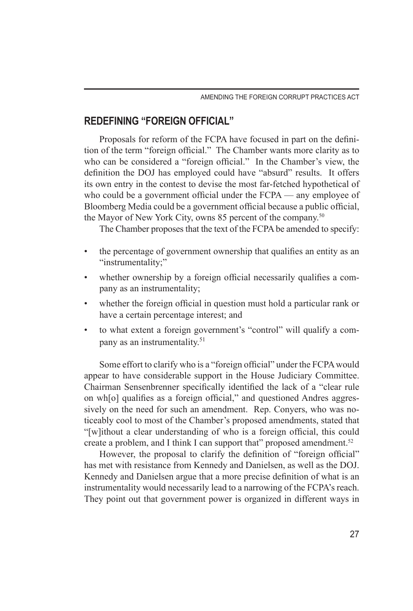# **REDEFINING "FOREIGN OFFICIAL"**

Proposals for reform of the FCPA have focused in part on the definition of the term "foreign official." The Chamber wants more clarity as to who can be considered a "foreign official." In the Chamber's view, the definition the DOJ has employed could have "absurd" results. It offers its own entry in the contest to devise the most far-fetched hypothetical of who could be a government official under the FCPA — any employee of Bloomberg Media could be a government official because a public official, the Mayor of New York City, owns 85 percent of the company.50

The Chamber proposes that the text of the FCPA be amended to specify:

- the percentage of government ownership that qualifies an entity as an "instrumentality;"
- whether ownership by a foreign official necessarily qualifies a company as an instrumentality;
- whether the foreign official in question must hold a particular rank or have a certain percentage interest; and
- to what extent a foreign government's "control" will qualify a company as an instrumentality.51

Some effort to clarify who is a "foreign official" under the FCPA would appear to have considerable support in the House Judiciary Committee. Chairman Sensenbrenner specifically identified the lack of a "clear rule on wh[o] qualifies as a foreign official," and questioned Andres aggressively on the need for such an amendment. Rep. Conyers, who was noticeably cool to most of the Chamber's proposed amendments, stated that "[w]ithout a clear understanding of who is a foreign official, this could create a problem, and I think I can support that" proposed amendment.<sup>52</sup>

However, the proposal to clarify the definition of "foreign official" has met with resistance from Kennedy and Danielsen, as well as the DOJ. Kennedy and Danielsen argue that a more precise definition of what is an instrumentality would necessarily lead to a narrowing of the FCPA's reach. They point out that government power is organized in different ways in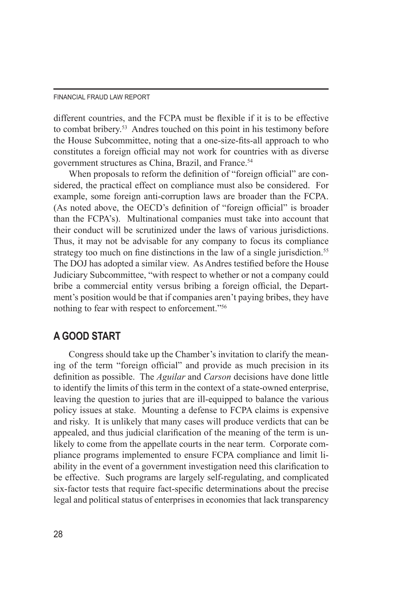different countries, and the FCPA must be flexible if it is to be effective to combat bribery.53 Andres touched on this point in his testimony before the House Subcommittee, noting that a one-size-fits-all approach to who constitutes a foreign official may not work for countries with as diverse government structures as China, Brazil, and France.<sup>54</sup>

When proposals to reform the definition of "foreign official" are considered, the practical effect on compliance must also be considered. For example, some foreign anti-corruption laws are broader than the FCPA. (As noted above, the OECD's definition of "foreign official" is broader than the FCPA's). Multinational companies must take into account that their conduct will be scrutinized under the laws of various jurisdictions. Thus, it may not be advisable for any company to focus its compliance strategy too much on fine distinctions in the law of a single jurisdiction.<sup>55</sup> The DOJ has adopted a similar view. As Andres testified before the House Judiciary Subcommittee, "with respect to whether or not a company could bribe a commercial entity versus bribing a foreign official, the Department's position would be that if companies aren't paying bribes, they have nothing to fear with respect to enforcement."56

# **A GOOD START**

Congress should take up the Chamber's invitation to clarify the meaning of the term "foreign official" and provide as much precision in its definition as possible. The *Aguilar* and *Carson* decisions have done little to identify the limits of this term in the context of a state-owned enterprise, leaving the question to juries that are ill-equipped to balance the various policy issues at stake. Mounting a defense to FCPA claims is expensive and risky. It is unlikely that many cases will produce verdicts that can be appealed, and thus judicial clarification of the meaning of the term is unlikely to come from the appellate courts in the near term. Corporate compliance programs implemented to ensure FCPA compliance and limit liability in the event of a government investigation need this clarification to be effective. Such programs are largely self-regulating, and complicated six-factor tests that require fact-specific determinations about the precise legal and political status of enterprises in economies that lack transparency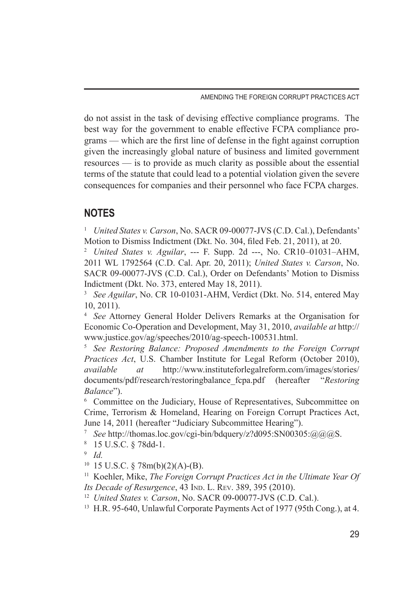AMENDING THE FOREIGN CORRUPT PRACTICES ACT

do not assist in the task of devising effective compliance programs. The best way for the government to enable effective FCPA compliance programs — which are the first line of defense in the fight against corruption given the increasingly global nature of business and limited government resources — is to provide as much clarity as possible about the essential terms of the statute that could lead to a potential violation given the severe consequences for companies and their personnel who face FCPA charges.

# **NOTES**

<sup>1</sup> *United States v. Carson*, No. SACR 09-00077-JVS (C.D. Cal.), Defendants' Motion to Dismiss Indictment (Dkt. No. 304, filed Feb. 21, 2011), at 20.

<sup>2</sup> *United States v. Aguilar*, --- F. Supp. 2d ---, No. CR10–01031–AHM, 2011 WL 1792564 (C.D. Cal. Apr. 20, 2011); *United States v. Carson*, No. SACR 09-00077-JVS (C.D. Cal.), Order on Defendants' Motion to Dismiss Indictment (Dkt. No. 373, entered May 18, 2011).

<sup>3</sup> *See Aguilar*, No. CR 10-01031-AHM, Verdict (Dkt. No. 514, entered May 10, 2011).

<sup>4</sup> *See* Attorney General Holder Delivers Remarks at the Organisation for Economic Co-Operation and Development, May 31, 2010, *available at* http:// www.justice.gov/ag/speeches/2010/ag-speech-100531.html.

<sup>5</sup> *See Restoring Balance: Proposed Amendments to the Foreign Corrupt Practices Act*, U.S. Chamber Institute for Legal Reform (October 2010), *available at* http://www.instituteforlegalreform.com/images/stories/ documents/pdf/research/restoringbalance\_fcpa.pdf (hereafter "*Restoring Balance*").

<sup>6</sup> Committee on the Judiciary, House of Representatives, Subcommittee on Crime, Terrorism & Homeland, Hearing on Foreign Corrupt Practices Act, June 14, 2011 (hereafter "Judiciary Subcommittee Hearing").

<sup>7</sup> *See* http://thomas.loc.gov/cgi-bin/bdquery/z?d095:SN00305:@@@S.

<sup>8</sup> 15 U.S.C. § 78dd-1.

<sup>10</sup> 15 U.S.C. § 78m(b)(2)(A)-(B).

<sup>11</sup> Koehler, Mike, *The Foreign Corrupt Practices Act in the Ultimate Year Of Its Decade of Resurgence*, 43 IND. L. REV. 389, 395 (2010).

- <sup>12</sup> *United States v. Carson*, No. SACR 09-00077-JVS (C.D. Cal.).
- <sup>13</sup> H.R. 95-640, Unlawful Corporate Payments Act of 1977 (95th Cong.), at 4.

<sup>9</sup> *Id.*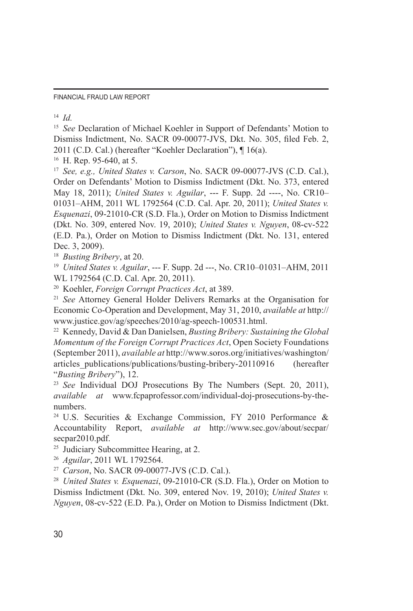<sup>14</sup> *Id.*

<sup>15</sup> *See* Declaration of Michael Koehler in Support of Defendants' Motion to Dismiss Indictment, No. SACR 09-00077-JVS, Dkt. No. 305, filed Feb. 2, 2011 (C.D. Cal.) (hereafter "Koehler Declaration"), ¶ 16(a).

<sup>16</sup> H. Rep. 95-640, at 5.

<sup>17</sup> *See, e.g., United States v. Carson*, No. SACR 09-00077-JVS (C.D. Cal.), Order on Defendants' Motion to Dismiss Indictment (Dkt. No. 373, entered May 18, 2011); *United States v. Aguilar*, --- F. Supp. 2d ----, No. CR10– 01031–AHM, 2011 WL 1792564 (C.D. Cal. Apr. 20, 2011); *United States v. Esquenazi*, 09-21010-CR (S.D. Fla.), Order on Motion to Dismiss Indictment (Dkt. No. 309, entered Nov. 19, 2010); *United States v. Nguyen*, 08-cv-522 (E.D. Pa.), Order on Motion to Dismiss Indictment (Dkt. No. 131, entered Dec. 3, 2009).

<sup>18</sup> *Busting Bribery*, at 20.

<sup>19</sup> *United States v. Aguilar*, --- F. Supp. 2d ---, No. CR10–01031–AHM, 2011 WL 1792564 (C.D. Cal. Apr. 20, 2011).

<sup>20</sup> Koehler, *Foreign Corrupt Practices Act*, at 389. 21 *See* Attorney General Holder Delivers Remarks at the Organisation for Economic Co-Operation and Development, May 31, 2010, *available at* http:// www.justice.gov/ag/speeches/2010/ag-speech-100531.html.

<sup>22</sup> Kennedy, David & Dan Danielsen, *Busting Bribery: Sustaining the Global Momentum of the Foreign Corrupt Practices Act*, Open Society Foundations (September 2011), *available at* http://www.soros.org/initiatives/washington/ articles\_publications/publications/busting-bribery-20110916 (hereafter "*Busting Bribery*"), 12.

<sup>23</sup> *See* Individual DOJ Prosecutions By The Numbers (Sept. 20, 2011), *available at* www.fcpaprofessor.com/individual-doj-prosecutions-by-thenumbers.

<sup>24</sup> U.S. Securities & Exchange Commission, FY 2010 Performance & Accountability Report, *available at* http://www.sec.gov/about/secpar/ secpar2010.pdf.

<sup>25</sup> Judiciary Subcommittee Hearing, at 2.

<sup>26</sup> *Aguilar*, 2011 WL 1792564.

<sup>27</sup> *Carson*, No. SACR 09-00077-JVS (C.D. Cal.).

<sup>28</sup> *United States v. Esquenazi*, 09-21010-CR (S.D. Fla.), Order on Motion to Dismiss Indictment (Dkt. No. 309, entered Nov. 19, 2010); *United States v. Nguyen*, 08-cv-522 (E.D. Pa.), Order on Motion to Dismiss Indictment (Dkt.